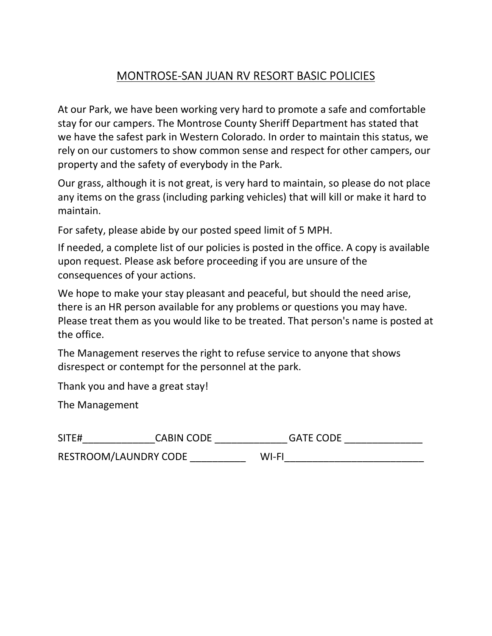# MONTROSE-SAN JUAN RV RESORT BASIC POLICIES

At our Park, we have been working very hard to promote a safe and comfortable stay for our campers. The Montrose County Sheriff Department has stated that we have the safest park in Western Colorado. In order to maintain this status, we rely on our customers to show common sense and respect for other campers, our property and the safety of everybody in the Park.

Our grass, although it is not great, is very hard to maintain, so please do not place any items on the grass (including parking vehicles) that will kill or make it hard to maintain.

For safety, please abide by our posted speed limit of 5 MPH.

If needed, a complete list of our policies is posted in the office. A copy is available upon request. Please ask before proceeding if you are unsure of the consequences of your actions.

We hope to make your stay pleasant and peaceful, but should the need arise, there is an HR person available for any problems or questions you may have. Please treat them as you would like to be treated. That person's name is posted at the office.

The Management reserves the right to refuse service to anyone that shows disrespect or contempt for the personnel at the park.

Thank you and have a great stay!

The Management

| SITE#                 | <b>CABIN CODE</b> | <b>GATE CODE</b> |  |
|-----------------------|-------------------|------------------|--|
| RESTROOM/LAUNDRY CODE |                   | WI-FI            |  |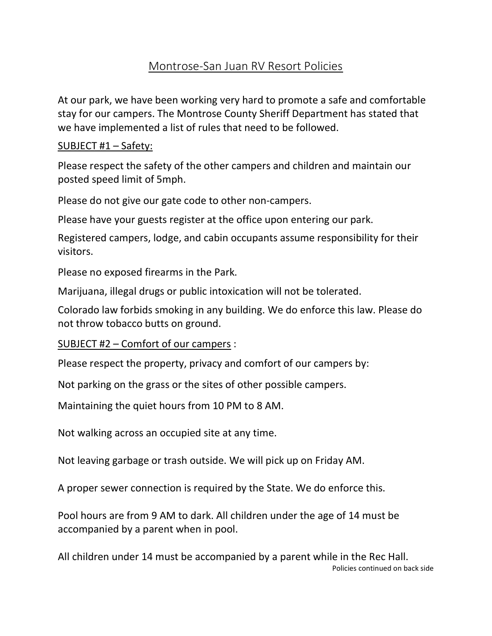# Montrose-San Juan RV Resort Policies

At our park, we have been working very hard to promote a safe and comfortable stay for our campers. The Montrose County Sheriff Department has stated that we have implemented a list of rules that need to be followed.

## SUBJECT #1 – Safety:

Please respect the safety of the other campers and children and maintain our posted speed limit of 5mph.

Please do not give our gate code to other non-campers.

Please have your guests register at the office upon entering our park.

Registered campers, lodge, and cabin occupants assume responsibility for their visitors.

Please no exposed firearms in the Park.

Marijuana, illegal drugs or public intoxication will not be tolerated.

Colorado law forbids smoking in any building. We do enforce this law. Please do not throw tobacco butts on ground.

SUBJECT #2 – Comfort of our campers :

Please respect the property, privacy and comfort of our campers by:

Not parking on the grass or the sites of other possible campers.

Maintaining the quiet hours from 10 PM to 8 AM.

Not walking across an occupied site at any time.

Not leaving garbage or trash outside. We will pick up on Friday AM.

A proper sewer connection is required by the State. We do enforce this.

Pool hours are from 9 AM to dark. All children under the age of 14 must be accompanied by a parent when in pool.

All children under 14 must be accompanied by a parent while in the Rec Hall. Policies continued on back side